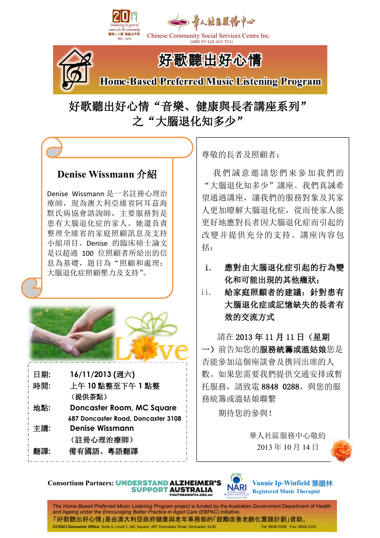



Chinese Community Social Services Centre Inc. (ABN 95 428 365 701)



# 好歌聽出好心情

**Home-Based Preferred Music Listening Program** 

好歌聽出好心情"音樂、健康與長者講座系列" 之"大腦退化知多少"

### **Denise Wissmann** 介紹

Denise Wissmann 是一名註冊心理治 療師,現為澳大利亞維省阿耳茲海 默氏病協會諮詢師,主要服務對是 患有大腦退化症的家人。她還負責 整理全維省的家庭照顧訊息及支持 小組項目。Denise 的臨床碩士論文 是以超過 100 位照顧者所給出的信 息為基礎,題目為"照顧和處理: 大腦退化症照顧壓力及支持"。



日期**: 16/11/2013 (**週六**)**  時間**:** 上午 **10** 點整至下午 **1** 點整 (提供茶點) 地點**: Doncaster Room, MC Square 687 Doncaster Road, Doncaster 3108** 主講**: Denise Wissmann** (註冊心理治療師) 翻譯**:** 備有國語、粵語翻譯

尊敬的長者及照顧者:

我們誠意邀請您們來參加我們的 "大腦退化知多少"講座。我們真誠希 望通過講座,讓我們的服務對象及其家 人更加瞭解大腦退化症,從而使家人能 更好地應對長者因大腦退化症而引起的 改變并提供充分的支持。講座內容包 括:

### i. 應對由大腦退化症引起的行為變 化和可能出現的其他癥狀;

ii. 給家庭照顧者的建議:針對患有 大腦退化症或記憶缺失的長者有 效的交流方式

請在 2013 年 11 月 11 日(星期 一)前告知您的服務統籌或溫姑娘您是 否能參加這個座談會及携同出席的人 數。如果您需要我們提供交通安排或暫 托服務,請致電 8848 0288,與您的服 務統籌或溫姑娘聯繫

期待您的參與!

 華人社區服務中心敬約 2013 年 10 月 14 日





**Vannie Ip-Winfield** 葉韻林 **Registered Music Therapist**

The *Home-Based Preferred Music Listening Program* project is funded by the Australian Government Department of Health and Ageing under the *Encouraging Better Practice in Aged Care* (EBPAC) initiative. 「好歌聽出好心情」是由澳大利亞政府健康與老年事務部的「鼓勵改善老齡化實踐計劃」資助。 **CCSSCI Doncaster Office:** Suite 6, Level 1, MC Square, 687 Doncaster Road, Doncaster 3108 Tel: 8848 0288 Fax: 9848 2191